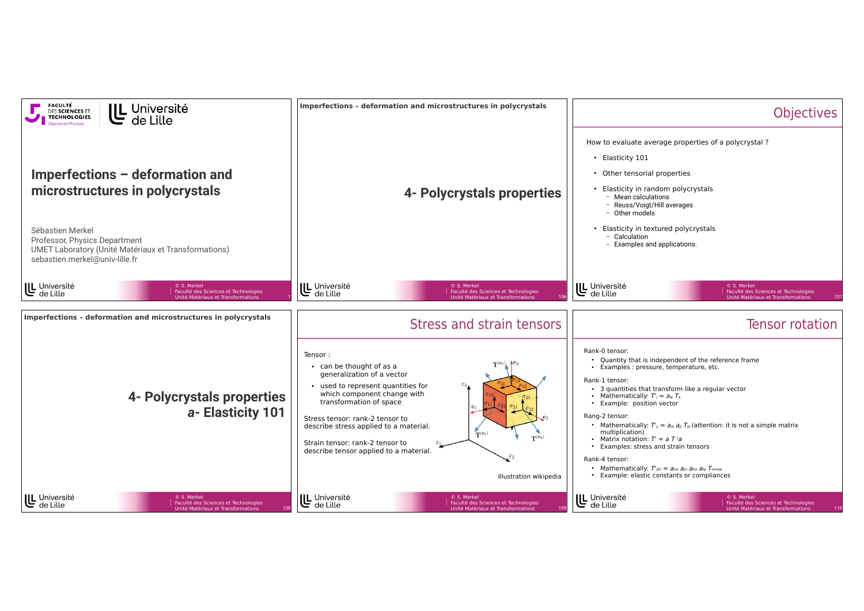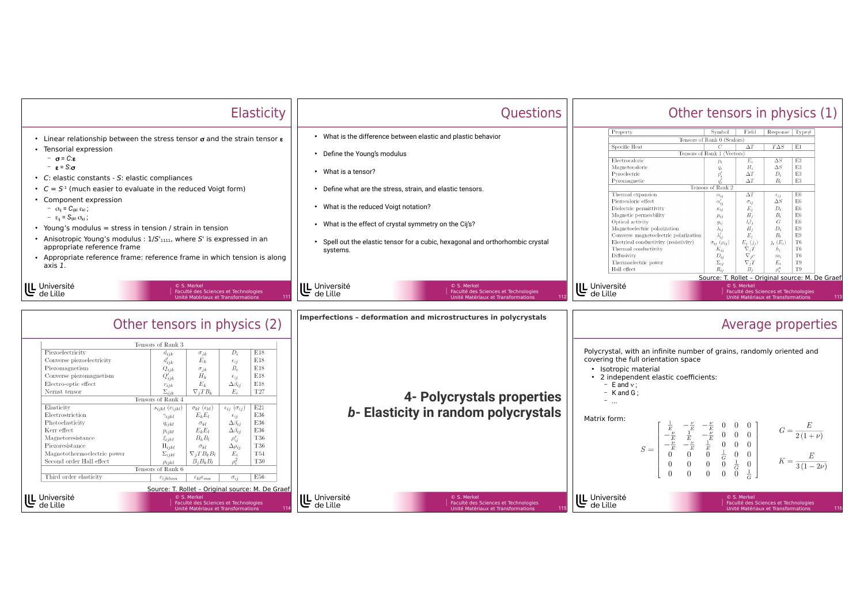|                                                                                                                                                                                                                                                                                                                                                                        | <b>Elasticity</b>                                                                                                                                                                                                                                                                                                                                                                                                                                                                                                                                                                                                                                                                                                                                                                                                                                                                                                                                                                           | Questions                                                                                                                                                                                                                                                                                                                                                                           | Other tensors in physics (1)                                                                                                                                                                                                                                                                                                                                                                                                                                                                                                                                                                                                                                                                                                                                                                                                                                                                                                                                                                                                                                                                                                                                                                                                                                                                                                 |
|------------------------------------------------------------------------------------------------------------------------------------------------------------------------------------------------------------------------------------------------------------------------------------------------------------------------------------------------------------------------|---------------------------------------------------------------------------------------------------------------------------------------------------------------------------------------------------------------------------------------------------------------------------------------------------------------------------------------------------------------------------------------------------------------------------------------------------------------------------------------------------------------------------------------------------------------------------------------------------------------------------------------------------------------------------------------------------------------------------------------------------------------------------------------------------------------------------------------------------------------------------------------------------------------------------------------------------------------------------------------------|-------------------------------------------------------------------------------------------------------------------------------------------------------------------------------------------------------------------------------------------------------------------------------------------------------------------------------------------------------------------------------------|------------------------------------------------------------------------------------------------------------------------------------------------------------------------------------------------------------------------------------------------------------------------------------------------------------------------------------------------------------------------------------------------------------------------------------------------------------------------------------------------------------------------------------------------------------------------------------------------------------------------------------------------------------------------------------------------------------------------------------------------------------------------------------------------------------------------------------------------------------------------------------------------------------------------------------------------------------------------------------------------------------------------------------------------------------------------------------------------------------------------------------------------------------------------------------------------------------------------------------------------------------------------------------------------------------------------------|
| • Tensorial expression<br>$-\sigma = C \varepsilon$<br>$ \varepsilon$ = S: $\sigma$<br>• C: elastic constants - S: elastic compliances<br>Component expression<br>$ \sigma_{ij} = C_{ijkl} \varepsilon_{kl}$ ;<br>$- \varepsilon_{ii} = S_{ijkl} \sigma_{kl}$ ;<br>• Young's modulus = stress in tension / strain in tension<br>appropriate reference frame<br>axis 1. | • Linear relationship between the stress tensor $\sigma$ and the strain tensor $\epsilon$<br>• $C = S-1$ (much easier to evaluate in the reduced Voigt form)<br>• Anisotropic Young's modulus : $1/S'_{1111}$ , where S' is expressed in an<br>• Appropriate reference frame: reference frame in which tension is along                                                                                                                                                                                                                                                                                                                                                                                                                                                                                                                                                                                                                                                                     | • What is the difference between elastic and plastic behavior<br>• Define the Young's modulus<br>• What is a tensor?<br>• Define what are the stress, strain, and elastic tensors.<br>• What is the reduced Voigt notation?<br>• What is the effect of crystal symmetry on the Cij's?<br>• Spell out the elastic tensor for a cubic, hexagonal and orthorhombic crystal<br>systems. | Property<br>Symbol<br>Field<br>Response   Type#<br>Tensors of Rank 0 (Scalars)<br>Specific Heat<br>$T\Delta S$   E1<br>$\Delta T$<br>$\mathcal{C}$<br>Tensors of Rank 1 (Vectors)<br>Electrocaloric<br>E3<br>$\Delta S$<br>$\Delta S$<br>E3<br>Magnetocaloric<br>$H_i$<br>$\mathop{\mathrm{E3}}$<br>$D_i$<br>Pyroelectric<br>$\Delta T$<br>$\mathrm{E}3$<br>$\Delta T$<br>$B_i$<br>Pyromagnetic<br>Tensors of Rank 2<br>Thermal expansion<br>$\Delta T$<br>E6<br>$\alpha_{ij}$<br>$\epsilon_{ij}$<br>$\Delta S$<br>E6<br>Piezocaloric effect<br>$\alpha'_{ij}$<br>$\sigma_{ij}$<br>$D_i$<br>E6<br>$E_j$<br>Dielectric permittivity<br>$\kappa_{ij}$<br>$H_i$<br>$B_i$<br>E6<br>Magnetic permeability<br>$\mu_{ij}$<br>E6<br>$l_i l_j$<br>$\cal G$<br>Optical activity<br>$g_{ij}$<br>E9<br>$H_i$<br>$D_i$<br>Magnetoelectric polarization<br>$\lambda_{ij}$<br>$\lambda'_{ii}$<br>E9<br>$E_i$<br>$B_i$<br>Converse magnetoelectric polarization<br>$_{\rm T6}$<br>$j_i(E_i)$<br>Electrical conductivity (resistivity)<br>$E_i(j_i)$<br>$\sigma_{ij}$ ( $\rho_{ij}$ )<br>$\nabla_i T$<br>$_{\rm T6}$<br>Thermal conductivity<br>$K_{ij}$<br>$h_i$<br>T6<br>Diffusivity<br>$D_{ij}$<br>$\nabla_i c$<br>$m_i$<br>$\Sigma_{ij}$<br>$E_i$<br>T9<br>Thermoelectric power<br>$\nabla_i T$<br>Hall effect<br>T9<br>$R_{ii}$<br>$B_i$ |
| U Université<br>de Lille                                                                                                                                                                                                                                                                                                                                               | © S. Merkel<br>Faculté des Sciences et Technologies<br>Unité Matériaux et Transformations<br>Other tensors in physics (2)                                                                                                                                                                                                                                                                                                                                                                                                                                                                                                                                                                                                                                                                                                                                                                                                                                                                   | U Université<br>de Lille<br>© S. Merkel<br>Faculté des Sciences et Technologies<br>Unité Matériaux et Transformations<br>Imperfections - deformation and microstructures in polycrystals                                                                                                                                                                                            | Source: T. Rollet - Original source: M. De Graef<br>U Université<br>de Lille<br>© S. Merkel<br>Faculté des Sciences et Technologies<br>Unité Matériaux et Transformations<br>113<br>Average properties                                                                                                                                                                                                                                                                                                                                                                                                                                                                                                                                                                                                                                                                                                                                                                                                                                                                                                                                                                                                                                                                                                                       |
| Piezoelectricity<br>Converse piezoelectricity<br>Piezomagnetism<br>Converse piezomagnetism<br>Electro-optic effect<br>Nernst tensor<br>Elasticity<br>Electrostriction<br>Photoelasticity<br>Kerr effect<br>Magnetoresistance<br>Piezoresistance<br>Magnetothermoelectric power<br>Second order Hall effect<br>Third order elasticity                                   | Tensors of Rank 3<br>E18<br>$D_i$<br>$d_{ijk}$<br>$\sigma_{ik}$<br>$E_k$<br>E18<br>$d'_{ijk}$<br>$\epsilon_{ij}$<br>E18<br>$B_i$<br>$Q_{ijk}$<br>$\sigma_{ik}$<br>E18<br>$Q'_{ijk}$<br>$H_k$<br>$\epsilon_{ij}$<br>E18<br>$E_k$<br>$\Delta \beta_{ii}$<br>$r_{ijk}$<br>$\Sigma_{iik}$<br>$\nabla_i T B_k$<br>T <sub>27</sub><br>$E_i$<br>Tensors of Rank 4<br>E21<br>$\epsilon_{ij}$ $(\sigma_{ij})$<br>$s_{ijkl}$ $(c_{ijkl})$<br>$\sigma_{kl}$ ( $\epsilon_{kl}$ )<br>E36<br>$E_k E_l$<br>$\gamma_{ijkl}$<br>$\epsilon_{ij}$<br>E36<br>$\Delta \beta_{ii}$<br>$\sigma_{kl}$<br>$q_{ijkl}$<br>$\Delta \beta_{ii}$<br>E36<br>$E_k E_l$<br>$p_{ijkl}$<br>T36<br>$B_k B_l$<br>$\rho_{ij}^s$<br>$\xi_{ijkl}$<br>T36<br>$\Pi_{ijkl}$<br>$\Delta \rho_{ij}$<br>$\sigma_{kl}$<br><b>T54</b><br>$\Sigma_{ijkl}$<br>$\nabla_i T B_k B_l$<br>$E_i$<br>T30<br>$B_i B_k B_l$<br>$\rho$ :<br>$\rho_{ijkl}$<br>Tensors of Rank 6<br>E56<br>$\sigma_{ij}$<br>$c_{ijklmn}$<br>$\epsilon_{kl}\epsilon_{mn}$ | 4- Polycrystals properties<br>b- Elasticity in random polycrystals                                                                                                                                                                                                                                                                                                                  | Polycrystal, with an infinite number of grains, randomly oriented and<br>covering the full orientation space<br>· Isotropic material<br>• 2 independent elastic coefficients:<br>$-$ E and $v$ :<br>$-$ K and G;<br>$=$ $\ldots$<br>Matrix form:<br>$\left  \begin{array}{ccccc} E & -\overline{E} & -\frac{e}{E} & 0 & 0 & 0 \\ -\frac{\nu}{E} & \frac{1}{E} & -\frac{\nu}{E} & 0 & 0 & 0 \\ -\frac{\nu}{E} & -\frac{\nu}{E} & \frac{1}{E} & 0 & 0 & 0 \\ 0 & 0 & 0 & \frac{1}{G} & 0 & 0 \\ 0 & 0 & 0 & 0 & \frac{1}{G} & 0 \\ 0 & 0 & 0 & 0 & 0 & 1 \end{array} \right $<br>$G = \frac{E}{2(1+\nu)}$<br>$K = \frac{E}{3(1-2\nu)}$<br>$S=% \begin{pmatrix} \omega_{0}-i\frac{\gamma_{\rm{QE}}}{2} & 0\\ 0 & \omega_{\rm{p}}-i\frac{\gamma_{\rm{p}}}{2} \end{pmatrix}% ,$                                                                                                                                                                                                                                                                                                                                                                                                                                                                                                                                                   |
| U Université<br>de Lille                                                                                                                                                                                                                                                                                                                                               | Source: T. Rollet - Original source: M. De Graef<br>© S. Merkel<br>Faculté des Sciences et Technologies<br>114<br>Unité Matériaux et Transformations                                                                                                                                                                                                                                                                                                                                                                                                                                                                                                                                                                                                                                                                                                                                                                                                                                        | U Université<br>de Lille<br>© S. Merkel<br>Faculté des Sciences et Technologies<br>115<br>Unité Matériaux et Transformations                                                                                                                                                                                                                                                        | U Université<br>de Lille<br>© S. Merkel<br>Faculté des Sciences et Technologies<br>116<br>Unité Matériaux et Transformations                                                                                                                                                                                                                                                                                                                                                                                                                                                                                                                                                                                                                                                                                                                                                                                                                                                                                                                                                                                                                                                                                                                                                                                                 |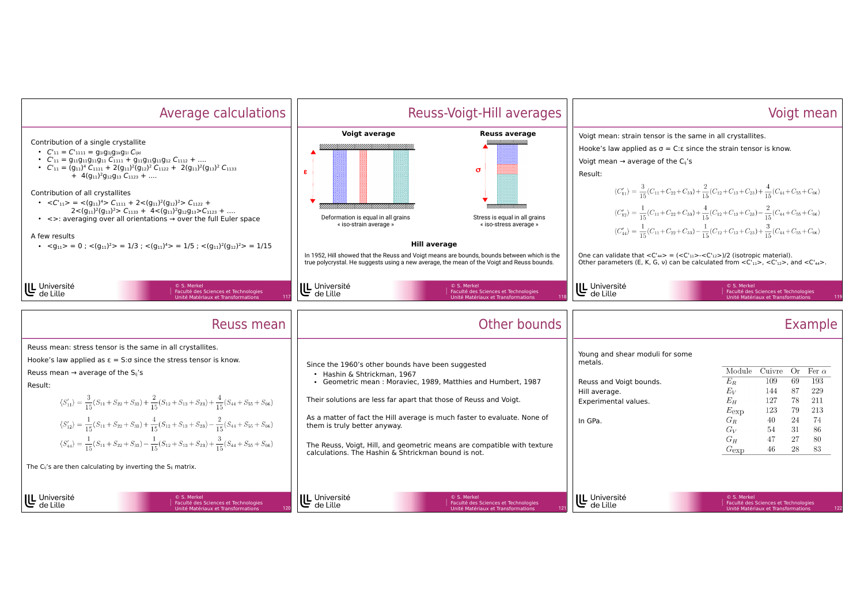